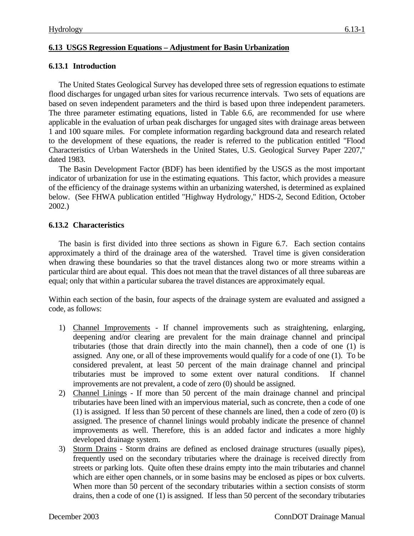### **6.13 USGS Regression Equations – Adjustment for Basin Urbanization**

### **6.13.1 Introduction**

The United States Geological Survey has developed three sets of regression equations to estimate flood discharges for ungaged urban sites for various recurrence intervals. Two sets of equations are based on seven independent parameters and the third is based upon three independent parameters. The three parameter estimating equations, listed in Table 6.6, are recommended for use where applicable in the evaluation of urban peak discharges for ungaged sites with drainage areas between 1 and 100 square miles. For complete information regarding background data and research related to the development of these equations, the reader is referred to the publication entitled "Flood Characteristics of Urban Watersheds in the United States, U.S. Geological Survey Paper 2207," dated 1983.

The Basin Development Factor (BDF) has been identified by the USGS as the most important indicator of urbanization for use in the estimating equations. This factor, which provides a measure of the efficiency of the drainage systems within an urbanizing watershed, is determined as explained below. (See FHWA publication entitled "Highway Hydrology," HDS-2, Second Edition, October 2002.)

### **6.13.2 Characteristics**

The basin is first divided into three sections as shown in Figure 6.7. Each section contains approximately a third of the drainage area of the watershed. Travel time is given consideration when drawing these boundaries so that the travel distances along two or more streams within a particular third are about equal. This does not mean that the travel distances of all three subareas are equal; only that within a particular subarea the travel distances are approximately equal.

Within each section of the basin, four aspects of the drainage system are evaluated and assigned a code, as follows:

- 1) Channel Improvements If channel improvements such as straightening, enlarging, deepening and/or clearing are prevalent for the main drainage channel and principal tributaries (those that drain directly into the main channel), then a code of one (1) is assigned. Any one, or all of these improvements would qualify for a code of one (1). To be considered prevalent, at least 50 percent of the main drainage channel and principal tributaries must be improved to some extent over natural conditions. If channel improvements are not prevalent, a code of zero (0) should be assigned.
- 2) Channel Linings If more than 50 percent of the main drainage channel and principal tributaries have been lined with an impervious material, such as concrete, then a code of one (1) is assigned. If less than 50 percent of these channels are lined, then a code of zero (0) is assigned. The presence of channel linings would probably indicate the presence of channel improvements as well. Therefore, this is an added factor and indicates a more highly developed drainage system.
- 3) Storm Drains Storm drains are defined as enclosed drainage structures (usually pipes), frequently used on the secondary tributaries where the drainage is received directly from streets or parking lots. Quite often these drains empty into the main tributaries and channel which are either open channels, or in some basins may be enclosed as pipes or box culverts. When more than 50 percent of the secondary tributaries within a section consists of storm drains, then a code of one (1) is assigned. If less than 50 percent of the secondary tributaries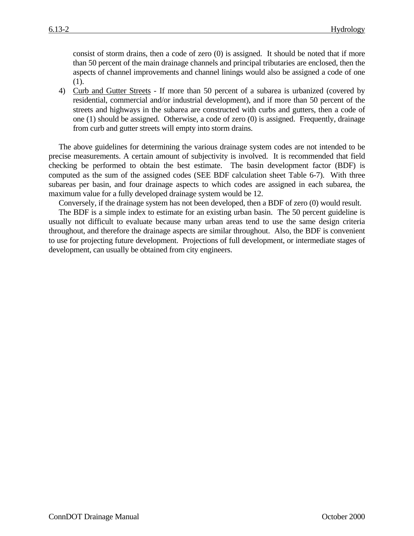consist of storm drains, then a code of zero (0) is assigned. It should be noted that if more than 50 percent of the main drainage channels and principal tributaries are enclosed, then the aspects of channel improvements and channel linings would also be assigned a code of one (1).

4) Curb and Gutter Streets - If more than 50 percent of a subarea is urbanized (covered by residential, commercial and/or industrial development), and if more than 50 percent of the streets and highways in the subarea are constructed with curbs and gutters, then a code of one (1) should be assigned. Otherwise, a code of zero (0) is assigned. Frequently, drainage from curb and gutter streets will empty into storm drains.

The above guidelines for determining the various drainage system codes are not intended to be precise measurements. A certain amount of subjectivity is involved. It is recommended that field checking be performed to obtain the best estimate. The basin development factor (BDF) is computed as the sum of the assigned codes (SEE BDF calculation sheet Table 6-7). With three subareas per basin, and four drainage aspects to which codes are assigned in each subarea, the maximum value for a fully developed drainage system would be 12.

Conversely, if the drainage system has not been developed, then a BDF of zero (0) would result.

The BDF is a simple index to estimate for an existing urban basin. The 50 percent guideline is usually not difficult to evaluate because many urban areas tend to use the same design criteria throughout, and therefore the drainage aspects are similar throughout. Also, the BDF is convenient to use for projecting future development. Projections of full development, or intermediate stages of development, can usually be obtained from city engineers.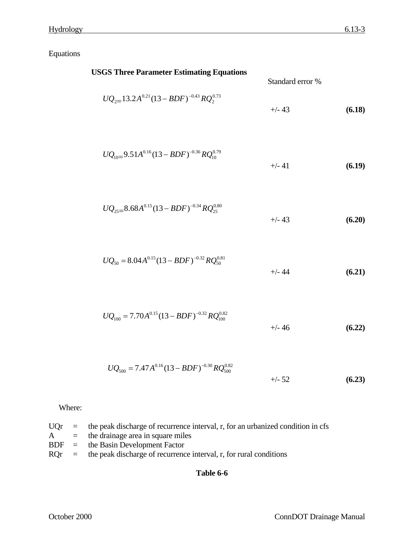Equations

| <b>USGS Three Parameter Estimating Equations</b>              | Standard error % |        |
|---------------------------------------------------------------|------------------|--------|
| $UQ_{2} = 13.2A^{0.21}(13 - BDF)^{-0.43}RQ_{2}^{0.73}$        | $+/- 43$         | (6.18) |
| $UQ_{10}=9.51A^{0.16}(13-BDF)^{-0.36}RQ_{10}^{0.79}$          | $+/- 41$         | (6.19) |
| $UQ_{25}=8.68A^{0.15}(13-BDF)^{-0.34}RQ_{25}^{0.80}$          | $+/- 43$         | (6.20) |
| $UQ_{50} = 8.04 A^{0.15} (13 - BDF)^{-0.32} RQ_{50}^{0.81}$   | $+/- 44$         | (6.21) |
| $UQ_{100} = 7.70A^{0.15}(13 - BDF)^{-0.32}RQ_{100}^{0.82}$    | $+/- 46$         | (6.22) |
| $UQ_{500} = 7.47 A^{0.16} (13 - BDF)^{-0.30} RQ_{500}^{0.82}$ | $+/- 52$         | (6.23) |

Where:

|  | $UQr$ = the peak discharge of recurrence interval, r, for an urbanized condition in cfs |
|--|-----------------------------------------------------------------------------------------|
|  | $A =$ the drainage area in square miles                                                 |
|  | $BDF =$ the Basin Development Factor                                                    |
|  | $ROr =$ the peak discharge of recurrence interval, r, for rural conditions              |
|  |                                                                                         |

# **Table 6-6**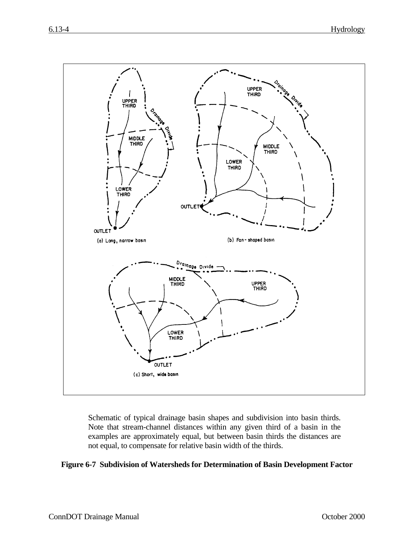

Schematic of typical drainage basin shapes and subdivision into basin thirds. Note that stream-channel distances within any given third of a basin in the examples are approximately equal, but between basin thirds the distances are not equal, to compensate for relative basin width of the thirds.

#### **Figure 6-7 Subdivision of Watersheds for Determination of Basin Development Factor**